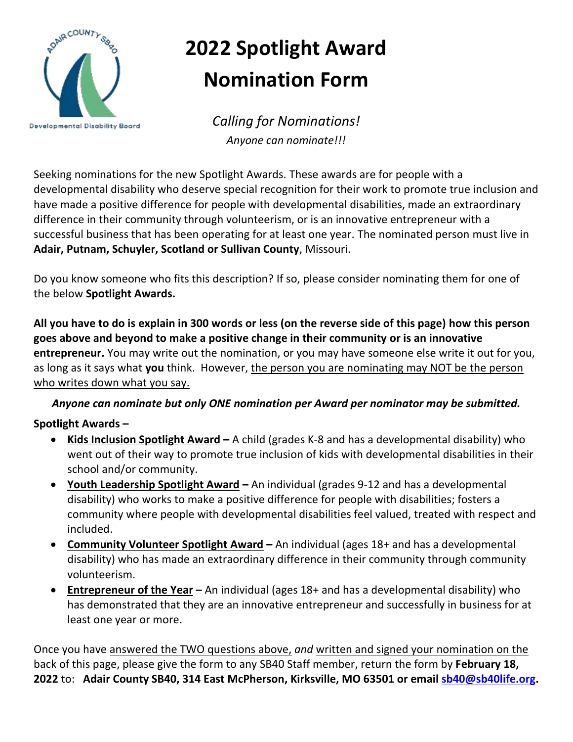

## **2022 Spotlight Award Nomination Form**

*Calling for Nominations! Anyone can nominate!!!*

Seeking nominations for the new Spotlight Awards. These awards are for people with a developmental disability who deserve special recognition for their work to promote true inclusion and have made a positive difference for people with developmental disabilities, made an extraordinary difference in their community through volunteerism, or is an innovative entrepreneur with a successful business that has been operating for at least one year. The nominated person must live in **Adair, Putnam, Schuyler, Scotland or Sullivan County**, Missouri.

Do you know someone who fits this description? If so, please consider nominating them for one of the below **Spotlight Awards.**

**All you have to do is explain in 300 words or less (on the reverse side of this page) how this person goes above and beyond to make a positive change in their community or is an innovative entrepreneur.** You may write out the nomination, or you may have someone else write it out for you, as long as it says what **you** think. However, the person you are nominating may NOT be the person who writes down what you say.

## *Anyone can nominate but only ONE nomination per Award per nominator may be submitted.*

## **Spotlight Awards –**

- **Kids Inclusion Spotlight Award –** A child (grades K-8 and has a developmental disability) who went out of their way to promote true inclusion of kids with developmental disabilities in their school and/or community.
- **Youth Leadership Spotlight Award –** An individual (grades 9-12 and has a developmental disability) who works to make a positive difference for people with disabilities; fosters a community where people with developmental disabilities feel valued, treated with respect and included.
- **Community Volunteer Spotlight Award –** An individual (ages 18+ and has a developmental disability) who has made an extraordinary difference in their community through community volunteerism.
- **Entrepreneur of the Year –** An individual (ages 18+ and has a developmental disability) who has demonstrated that they are an innovative entrepreneur and successfully in business for at least one year or more.

Once you have answered the TWO questions above, *and* written and signed your nomination on the back of this page, please give the form to any SB40 Staff member, return the form by **February 18, 2022** to: **Adair County SB40, 314 East McPherson, Kirksville, MO 63501 or email [sb40@sb40life.org.](mailto:sb40@sb40life.org)**